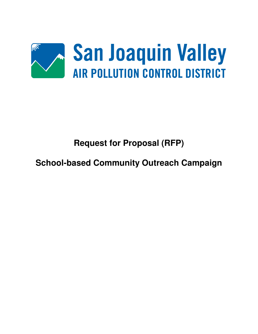

# **Request for Proposal (RFP)**

**School-based Community Outreach Campaign**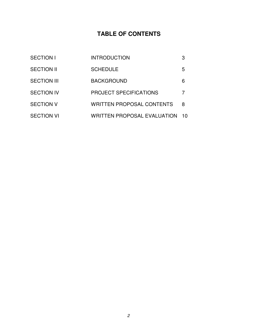# **TABLE OF CONTENTS**

| <b>SECTION I</b>   | <b>INTRODUCTION</b>                |    |
|--------------------|------------------------------------|----|
| <b>SECTION II</b>  | <b>SCHEDULE</b>                    | 5  |
| <b>SECTION III</b> | <b>BACKGROUND</b>                  | 6  |
| <b>SECTION IV</b>  | <b>PROJECT SPECIFICATIONS</b>      | 7  |
| <b>SECTION V</b>   | <b>WRITTEN PROPOSAL CONTENTS</b>   | 8  |
| <b>SECTION VI</b>  | <b>WRITTEN PROPOSAL EVALUATION</b> | 10 |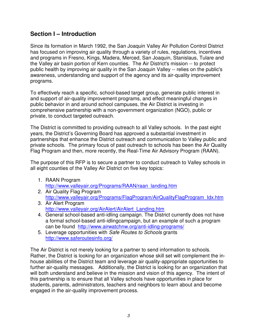### **Section I – Introduction**

Since its formation in March 1992, the San Joaquin Valley Air Pollution Control District has focused on improving air quality through a variety of rules, regulations, incentives and programs in Fresno, Kings, Madera, Merced, San Joaquin, Stanislaus, Tulare and the Valley air basin portion of Kern counties. The Air District's mission -- to protect public health by improving air quality in the San Joaquin Valley -- relies on the public's awareness, understanding and support of the agency and its air-quality improvement programs.

To effectively reach a specific, school-based target group, generate public interest in and support of air-quality improvement programs, and effect meaningful changes in public behavior in and around school campuses, the Air District is investing in comprehensive partnership with a non-government organization (NGO), public or private, to conduct targeted outreach.

The District is committed to providing outreach to all Valley schools. In the past eight years, the District's Governing Board has approved a substantial investment in partnerships that enhance the District outreach and communication to Valley public and private schools. The primary focus of past outreach to schools has been the Air Quality Flag Program and then, more recently, the Real-Time Air Advisory Program (RAAN).

The purpose of this RFP is to secure a partner to conduct outreach to Valley schools in all eight counties of the Valley Air District on five key topics:

- 1. RAAN Program http://www.valleyair.org/Programs/RAAN/raan\_landing.htm
- 2. Air Quality Flag Program http://www.valleyair.org/Programs/FlagProgram/AirQualityFlagProgram\_Idx.htm
- 3. Air Alert Program http://www.valleyair.org/AirAlert/AirAlert\_Landing.htm
- 4. General school-based anti-idling campaign. The District currently does not have a formal school-based anti-idlingcampaign, but an example of such a program can be found http://www.airwatchnw.org/anti-idling-programs/
- 5. Leverage opportunities with Safe Routes to Schools grants http://www.saferoutesinfo.org/

The Air District is not merely looking for a partner to send information to schools. Rather, the District is looking for an organization whose skill set will complement the inhouse abilities of the District team and leverage air quality-appropriate opportunities to further air-quality messages. Additionally, the District is looking for an organization that will both understand and believe in the mission and vision of this agency. The intent of this partnership is to ensure that all Valley schools have opportunities in place for students, parents, administrators, teachers and neighbors to learn about and become engaged in the air-quality improvement process.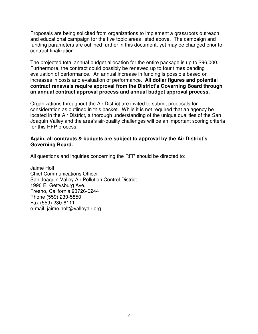Proposals are being solicited from organizations to implement a grassroots outreach and educational campaign for the five topic areas listed above. The campaign and funding parameters are outlined further in this document, yet may be changed prior to contract finalization.

The projected total annual budget allocation for the entire package is up to \$96,000. Furthermore, the contract could possibly be renewed up to four times pending evaluation of performance. An annual increase in funding is possible based on increases in costs and evaluation of performance. **All dollar figures and potential contract renewals require approval from the District's Governing Board through an annual contract approval process and annual budget approval process.**

Organizations throughout the Air District are invited to submit proposals for consideration as outlined in this packet. While it is not required that an agency be located in the Air District, a thorough understanding of the unique qualities of the San Joaquin Valley and the area's air-quality challenges will be an important scoring criteria for this RFP process.

#### **Again, all contracts & budgets are subject to approval by the Air District's Governing Board.**

All questions and inquiries concerning the RFP should be directed to:

Jaime Holt Chief Communications Officer San Joaquin Valley Air Pollution Control District 1990 E. Gettysburg Ave. Fresno, California 93726-0244 Phone (559) 230-5850 Fax (559) 230-6111 e-mail: jaime.holt@valleyair.org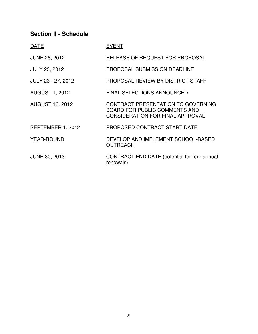## **Section II - Schedule**

| <b>DATE</b>            | <b>EVENT</b>                                                                                                          |
|------------------------|-----------------------------------------------------------------------------------------------------------------------|
| <b>JUNE 28, 2012</b>   | RELEASE OF REQUEST FOR PROPOSAL                                                                                       |
| <b>JULY 23, 2012</b>   | <b>PROPOSAL SUBMISSION DEADLINE</b>                                                                                   |
| JULY 23 - 27, 2012     | PROPOSAL REVIEW BY DISTRICT STAFF                                                                                     |
| <b>AUGUST 1, 2012</b>  | <b>FINAL SELECTIONS ANNOUNCED</b>                                                                                     |
| <b>AUGUST 16, 2012</b> | CONTRACT PRESENTATION TO GOVERNING<br><b>BOARD FOR PUBLIC COMMENTS AND</b><br><b>CONSIDERATION FOR FINAL APPROVAL</b> |
| SEPTEMBER 1, 2012      | PROPOSED CONTRACT START DATE                                                                                          |
| <b>YEAR-ROUND</b>      | DEVELOP AND IMPLEMENT SCHOOL-BASED<br><b>OUTREACH</b>                                                                 |
| <b>JUNE 30, 2013</b>   | CONTRACT END DATE (potential for four annual<br>renewals)                                                             |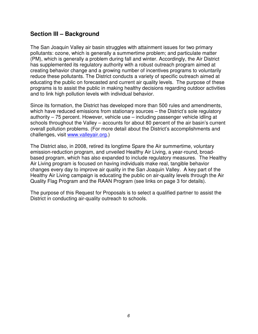#### **Section III – Background**

The San Joaquin Valley air basin struggles with attainment issues for two primary pollutants: ozone, which is generally a summertime problem; and particulate matter (PM), which is generally a problem during fall and winter. Accordingly, the Air District has supplemented its regulatory authority with a robust outreach program aimed at creating behavior change and a growing number of incentives programs to voluntarily reduce these pollutants. The District conducts a variety of specific outreach aimed at educating the public on forecasted and current air quality levels. The purpose of these programs is to assist the public in making healthy decisions regarding outdoor activities and to link high pollution levels with individual behavior.

Since its formation, the District has developed more than 500 rules and amendments, which have reduced emissions from stationary sources – the District's sole regulatory authority – 75 percent. However, vehicle use – including passenger vehicle idling at schools throughout the Valley – accounts for about 80 percent of the air basin's current overall pollution problems. (For more detail about the District's accomplishments and challenges, visit www.valleyair.org.)

The District also, in 2008, retired its longtime Spare the Air summertime, voluntary emission-reduction program, and unveiled Healthy Air Living, a year-round, broadbased program, which has also expanded to include regulatory measures. The Healthy Air Living program is focused on having individuals make real, tangible behavior changes every day to improve air quality in the San Joaquin Valley. A key part of the Healthy Air Living campaign is educating the public on air-quality levels through the Air Quality Flag Program and the RAAN Program (see links on page 3 for details).

The purpose of this Request for Proposals is to select a qualified partner to assist the District in conducting air-quality outreach to schools.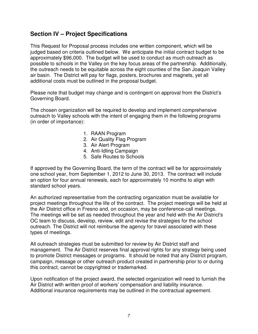### **Section IV – Project Specifications**

This Request for Proposal process includes one written component, which will be judged based on criteria outlined below. We anticipate the initial contract budget to be approximately \$96,000. The budget will be used to conduct as much outreach as possible to schools in the Valley on the key focus areas of the partnership. Additionally, the outreach needs to be equitable across the eight counties of the San Joaquin Valley air basin. The District will pay for flags, posters, brochures and magnets, yet all additional costs must be outlined in the proposal budget.

Please note that budget may change and is contingent on approval from the District's Governing Board.

The chosen organization will be required to develop and implement comprehensive outreach to Valley schools with the intent of engaging them in the following programs (in order of importance):

- 1. RAAN Program
- 2. Air Quality Flag Program
- 3. Air Alert Program
- 4. Anti-Idling Campaign
- 5. Safe Routes to Schools

If approved by the Governing Board, the term of the contract will be for approximately one school year, from September 1, 2012 to June 30, 2013. The contract will include an option for four annual renewals, each for approximately 10 months to align with standard school years.

An authorized representative from the contracting organization must be available for project meetings throughout the life of the contract. The project meetings will be held at the Air District office in Fresno and, on occasion, may be conference-call meetings. The meetings will be set as needed throughout the year and held with the Air District's OC team to discuss, develop, review, edit and revise the strategies for the school outreach. The District will not reimburse the agency for travel associated with these types of meetings.

All outreach strategies must be submitted for review by Air District staff and management. The Air District reserves final approval rights for any strategy being used to promote District messages or programs. It should be noted that any District program, campaign, message or other outreach product created in partnership prior to or during this contract, cannot be copyrighted or trademarked.

Upon notification of the project award, the selected organization will need to furnish the Air District with written proof of workers' compensation and liability insurance. Additional insurance requirements may be outlined in the contractual agreement.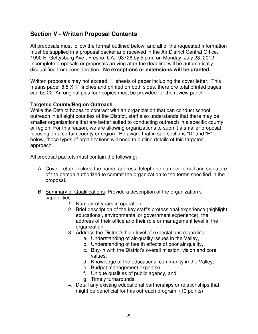## **Section V - Written Proposal Contents**

All proposals must follow the format outlined below, and all of the requested information must be supplied in a proposal packet and received in the Air District Central Office, 1990 E. Gettysburg Ave., Fresno, CA., 93726 by 5 p.m. on Monday, July 23, 2012. Incomplete proposals or proposals arriving after the deadline will be automatically disqualified from consideration. **No exceptions or extensions will be granted.** 

Written proposals may not exceed 11 sheets of paper including the cover letter. This means paper 8.5 X 11 inches and printed on both sides, therefore total printed pages can be 22. An original plus four copies must be provided for the review panel.

#### **Targeted County/Region Outreach**

While the District hopes to contract with an organization that can conduct school outreach in all eight counties of the District, staff also understands that there may be smaller organizations that are better suited to conducting outreach in a specific county or region. For this reason, we are allowing organizations to submit a smaller proposal focusing on a certain county or region. Be aware that in sub-sections "D" and "F" below, these types of organizations will need to outline details of this targeted approach.

All proposal packets must contain the following:

- A. Cover Letter: Include the name, address, telephone number, email and signature of the person authorized to commit the organization to the terms specified in the proposal.
- B. Summary of Qualifications: Provide a description of the organization's capabilities:
	- 1. Number of years in operation.
	- 2. Brief description of the key staff's professional experience (highlight educational, environmental or government experience), the address of their office and their role or management level in the organization.
	- 3. Address the District's high level of expectations regarding:
		- a. Understanding of air-quality issues in the Valley,
		- b. Understanding of health effects of poor air quality,
		- c. Buy-in with the District's overall mission, vision and core values,
		- d. Knowledge of the educational community in the Valley,
		- e. Budget management expertise,
		- f. Unique qualities of public agency, and
		- g. Timely turnarounds.
	- 4. Detail any existing educational partnerships or relationships that might be beneficial for this outreach program. (10 points)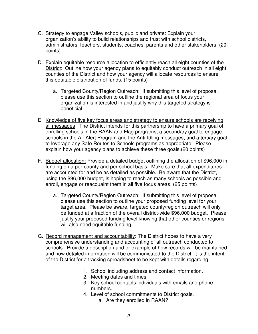- C. Strategy to engage Valley schools, public and private: Explain your organization's ability to build relationships and trust with school districts, administrators, teachers, students, coaches, parents and other stakeholders. (20 points)
- D. Explain equitable resource allocation to efficiently reach all eight counties of the District: Outline how your agency plans to equitably conduct outreach in all eight counties of the District and how your agency will allocate resources to ensure this equitable distribution of funds. (15 points)
	- a. Targeted County/Region Outreach: If submitting this level of proposal, please use this section to outline the regional area of focus your organization is interested in and justify why this targeted strategy is beneficial.
- E. Knowledge of five key focus areas and strategy to ensure schools are receiving all messages: The District intends for this partnership to have a primary goal of enrolling schools in the RAAN and Flag programs; a secondary goal to engage schools in the Air Alert Program and the Anti-Idling messages; and a tertiary goal to leverage any Safe Routes to Schools programs as appropriate. Please explain how your agency plans to achieve these three goals.(20 points)
- F. Budget allocation: Provide a detailed budget outlining the allocation of \$96,000 in funding on a per-county and per-school basis. Make sure that all expenditures are accounted for and be as detailed as possible. Be aware that the District, using the \$96,000 budget, is hoping to reach as many schools as possible and enroll, engage or reacquaint them in all five focus areas. (25 points)
	- a. Targeted County/Region Outreach: If submitting this level of proposal, please use this section to outline your proposed funding level for your target area. Please be aware, targeted county/region outreach will only be funded at a fraction of the overall district-wide \$96,000 budget. Please justify your proposed funding level knowing that other counties or regions will also need equitable funding.
- G. Record management and accountability: The District hopes to have a very comprehensive understanding and accounting of all outreach conducted to schools. Provide a description and or example of how records will be maintained and how detailed information will be communicated to the District. It is the intent of the District for a tracking spreadsheet to be kept with details regarding:
	- 1. School including address and contact information.
	- 2. Meeting dates and times.
	- 3. Key school contacts individuals with emails and phone numbers.
	- 4. Level of school commitments to District goals,
		- a. Are they enrolled in RAAN?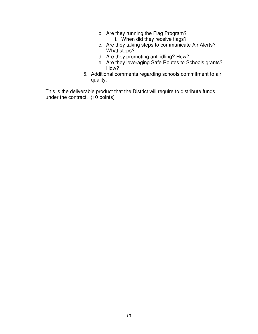- b. Are they running the Flag Program?
	- i. When did they receive flags?
- c. Are they taking steps to communicate Air Alerts? What steps?
- d. Are they promoting anti-idling? How?
- e. Are they leveraging Safe Routes to Schools grants? How?
- 5. Additional comments regarding schools commitment to air quality.

This is the deliverable product that the District will require to distribute funds under the contract. (10 points)